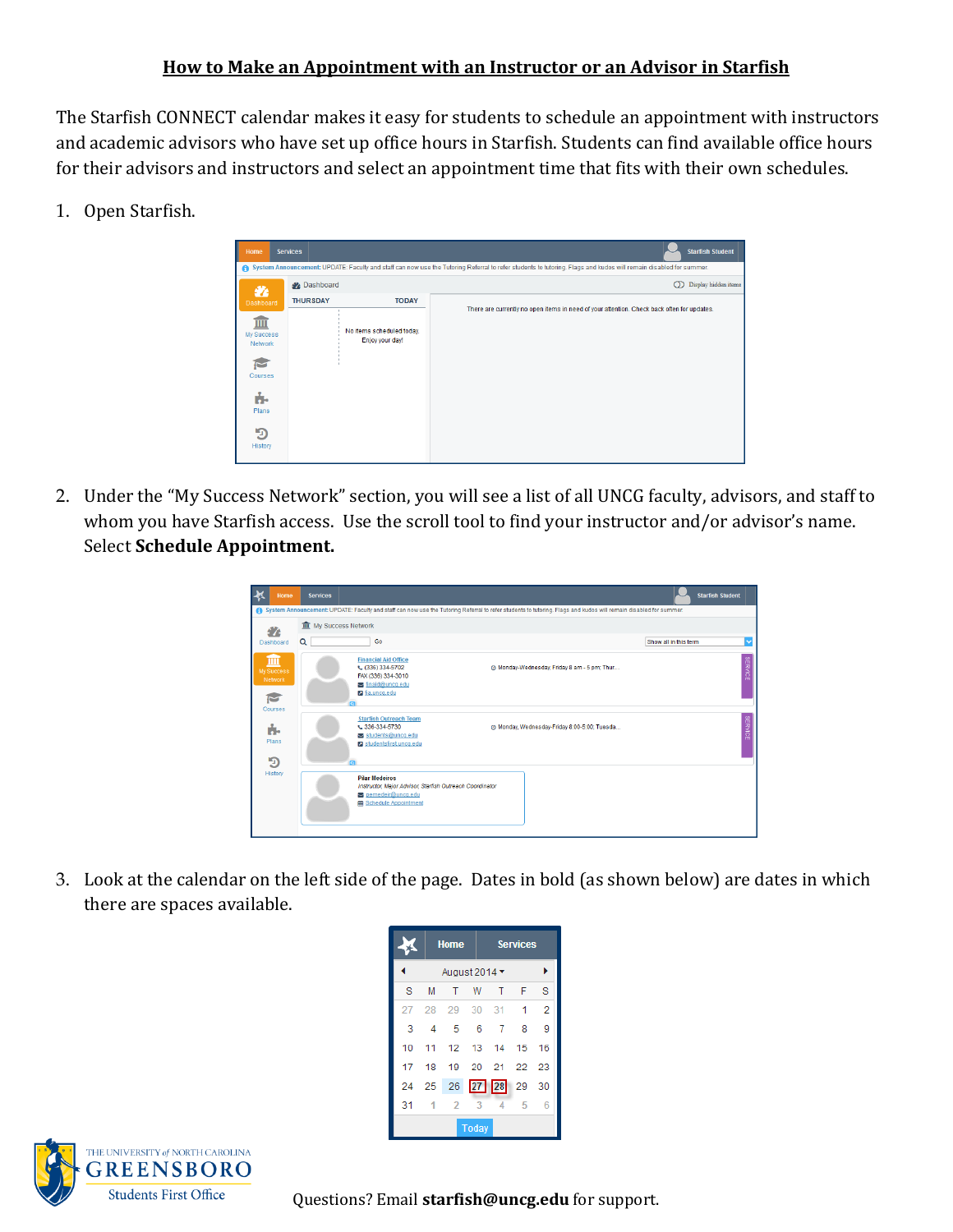## **How to Make an Appointment with an Instructor or an Advisor in Starfish**

The Starfish CONNECT calendar makes it easy for students to schedule an appointment with instructors and academic advisors who have set up office hours in Starfish. Students can find available office hours for their advisors and instructors and select an appointment time that fits with their own schedules.

1. Open Starfish.



2. Under the "My Success Network" section, you will see a list of all UNCG faculty, advisors, and staff to whom you have Starfish access. Use the scroll tool to find your instructor and/or advisor's name. Select **Schedule Appointment.**

| Home                                       | <b>Services</b>               |                                                                                                                                |                                                                                                                                                                  | <b>Starfish Student</b> |
|--------------------------------------------|-------------------------------|--------------------------------------------------------------------------------------------------------------------------------|------------------------------------------------------------------------------------------------------------------------------------------------------------------|-------------------------|
|                                            |                               |                                                                                                                                | System Announcement: UPDATE: Faculty and staff can now use the Tutoring Referral to refer students to tutoring. Flags and kudos will remain disabled for summer. |                         |
| 47                                         | <b>III</b> My Success Network |                                                                                                                                |                                                                                                                                                                  |                         |
| Dashboard                                  | Q                             | Go                                                                                                                             |                                                                                                                                                                  | Show all in this term   |
| ш<br>My Success<br>Network<br>M<br>Courses |                               | <b>Financial Aid Office</b><br>€ (336) 334-5702<br>FAX (336) 334-3010<br>finaid@uncq.edu<br>a fia uncq.edu<br><b>G</b>         | @ Monday-Wednesday, Friday 8 am - 5 pm; Thur                                                                                                                     | <b>SERVICE</b>          |
| ń.<br>Plans<br>Э                           |                               | <b>Starfish Outreach Team</b><br>L 336-334-5730<br>students@uncq.edu<br>studentsfirst.uncq.edu<br>$\overline{a}$               | @ Monday, Wednesday-Friday 8:00-5:00; Tuesda                                                                                                                     | <b>SERVICE</b>          |
| History                                    |                               | <b>Pilar Medeiros</b><br>Instructor, Major Advisor, Starfish Outreach Coordinator<br>pemedeir@uncq.edu<br>Schedule Appointment |                                                                                                                                                                  |                         |

3. Look at the calendar on the left side of the page. Dates in bold (as shown below) are dates in which there are spaces available.

|    |                                  | <b>Home</b>    |     |                                  | <b>Services</b> |                |  |  |
|----|----------------------------------|----------------|-----|----------------------------------|-----------------|----------------|--|--|
|    | August 2014 $\blacktriangledown$ |                |     |                                  |                 |                |  |  |
| s  | М                                | т              | W   | т                                | F               | s              |  |  |
| 27 | 28                               | 29 30          |     | $-31$                            | 1               | $\overline{2}$ |  |  |
| 3  | 4                                | -5             | - 6 | 7                                | 8               | 9              |  |  |
| 10 |                                  |                |     | 11 12 13 14                      | 15              | 16             |  |  |
| 17 | 18                               |                |     | 19 20 21 22                      |                 | 23             |  |  |
|    |                                  |                |     | 24    25    26    27    28    29 |                 | 30             |  |  |
| 31 | 1                                | $\overline{2}$ | 3   | 4                                | 5               | 6              |  |  |
|    | Today                            |                |     |                                  |                 |                |  |  |



Students First Office **Questions?** Email **starfish@uncg.edu** for support.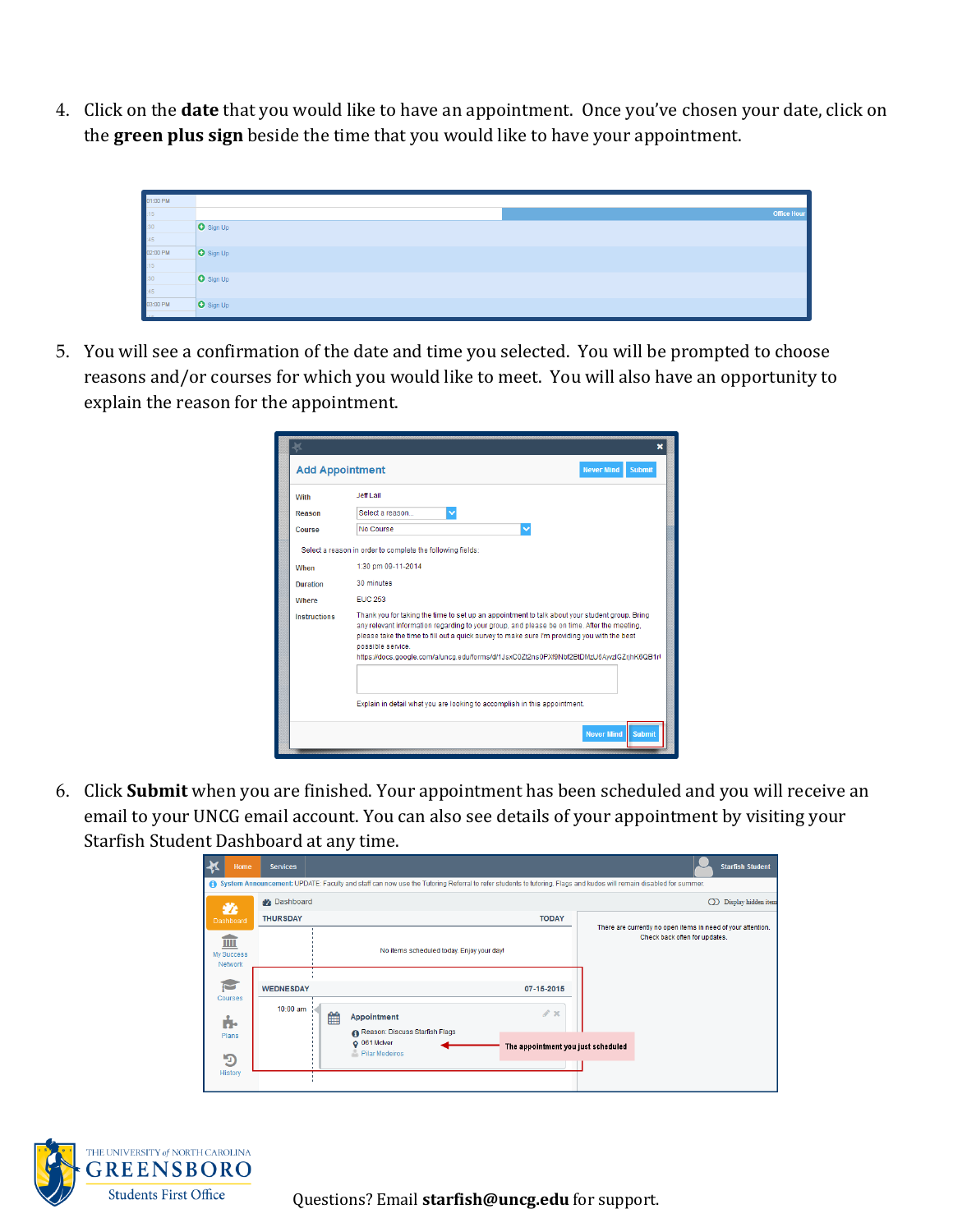4. Click on the **date** that you would like to have an appointment. Once you've chosen your date, click on the **green plus sign** beside the time that you would like to have your appointment.



5. You will see a confirmation of the date and time you selected. You will be prompted to choose reasons and/or courses for which you would like to meet. You will also have an opportunity to explain the reason for the appointment.

| <b>Add Appointment</b> |                                                                                                                                                                                                                                                                                                                                                                                                              | <b>Never Mind</b><br><b>Submit</b> |
|------------------------|--------------------------------------------------------------------------------------------------------------------------------------------------------------------------------------------------------------------------------------------------------------------------------------------------------------------------------------------------------------------------------------------------------------|------------------------------------|
| With                   | Jeff Lail                                                                                                                                                                                                                                                                                                                                                                                                    |                                    |
| Reason                 | Select a reason<br>$\checkmark$                                                                                                                                                                                                                                                                                                                                                                              |                                    |
| Course                 | No Course<br>$\checkmark$                                                                                                                                                                                                                                                                                                                                                                                    |                                    |
|                        | Select a reason in order to complete the following fields:                                                                                                                                                                                                                                                                                                                                                   |                                    |
| When                   | 1:30 pm 09-11-2014                                                                                                                                                                                                                                                                                                                                                                                           |                                    |
| <b>Duration</b>        | 30 minutes                                                                                                                                                                                                                                                                                                                                                                                                   |                                    |
| Where                  | <b>EUC 253</b>                                                                                                                                                                                                                                                                                                                                                                                               |                                    |
| <b>Instructions</b>    | Thank you for taking the time to set up an appointment to talk about your student group. Bring<br>any relevant information regarding to your group, and please be on time. After the meeting,<br>please take the time to fill out a quick survey to make sure I'm providing you with the best<br>possible service<br>https://docs.google.com/a/uncq.edu/forms/d/1JsxC0Zt2ns0PXf9Nbf2BtDMzU6AyvzIGZrjhK6QB1rl |                                    |
|                        | Explain in detail what you are looking to accomplish in this appointment.                                                                                                                                                                                                                                                                                                                                    | <b>Never Mind</b><br><b>Submit</b> |

6. Click **Submit** when you are finished. Your appointment has been scheduled and you will receive an email to your UNCG email account. You can also see details of your appointment by visiting your Starfish Student Dashboard at any time.

| ⋠                                                                                      | Home    | <b>Services</b>       |                                               |                                                                                                                                                                  |                                           |            |                                                              |          | <b>Starfish Student</b> |
|----------------------------------------------------------------------------------------|---------|-----------------------|-----------------------------------------------|------------------------------------------------------------------------------------------------------------------------------------------------------------------|-------------------------------------------|------------|--------------------------------------------------------------|----------|-------------------------|
|                                                                                        |         |                       |                                               | System Announcement: UPDATE: Faculty and staff can now use the Tutoring Referral to refer students to tutoring. Flags and kudos will remain disabled for summer. |                                           |            |                                                              |          |                         |
|                                                                                        | 蠡       | Dashboard             |                                               |                                                                                                                                                                  |                                           |            |                                                              | $\Omega$ | Display hidden iten     |
| Dashboard<br>Ш<br>My Success<br>Network<br>Ō<br>Courses<br>ń.<br>Plans<br>$\mathbf{D}$ |         | <b>THURSDAY</b>       |                                               |                                                                                                                                                                  | <b>TODAY</b>                              |            | There are currently no open items in need of your attention. |          |                         |
|                                                                                        |         |                       |                                               |                                                                                                                                                                  | No items scheduled today. Enjoy your day! |            | Check back often for updates.                                |          |                         |
|                                                                                        |         |                       |                                               |                                                                                                                                                                  |                                           |            |                                                              |          |                         |
|                                                                                        |         | <b>WEDNESDAY</b>      |                                               |                                                                                                                                                                  |                                           | 07-15-2015 |                                                              |          |                         |
|                                                                                        |         | $10:00$ am $\pm$<br>雦 | Appointment<br>Reason: Discuss Starfish Flags |                                                                                                                                                                  | $\mathscr{P} \times$                      |            |                                                              |          |                         |
|                                                                                        |         |                       | Q 061 McIver<br>Pilar Medeiros                |                                                                                                                                                                  | The appointment you just scheduled        |            |                                                              |          |                         |
|                                                                                        | History |                       |                                               |                                                                                                                                                                  |                                           |            |                                                              |          |                         |



Students First Office **Questions? Email starfish@uncg.edu** for support.